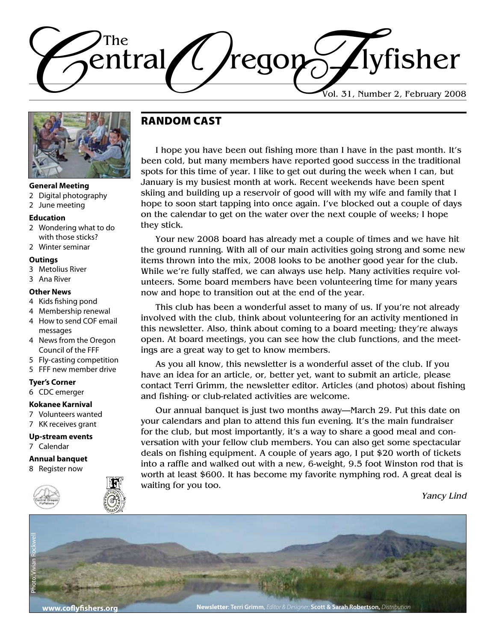

Random Cast

I hope you have been out fishing more than I have in the past month. It's been cold, but many members have reported good success in the traditional spots for this time of year. I like to get out during the week when I can, but January is my busiest month at work. Recent weekends have been spent skiing and building up a reservoir of good will with my wife and family that I hope to soon start tapping into once again. I've blocked out a couple of days on the calendar to get on the water over the next couple of weeks; I hope they stick.

Your new 2008 board has already met a couple of times and we have hit the ground running. With all of our main activities going strong and some new items thrown into the mix, 2008 looks to be another good year for the club. While we're fully staffed, we can always use help. Many activities require volunteers. Some board members have been volunteering time for many years now and hope to transition out at the end of the year.

This club has been a wonderful asset to many of us. If you're not already involved with the club, think about volunteering for an activity mentioned in this newsletter. Also, think about coming to a board meeting; they're always open. At board meetings, you can see how the club functions, and the meetings are a great way to get to know members.

As you all know, this newsletter is a wonderful asset of the club. If you have an idea for an article, or, better yet, want to submit an article, please contact Terri Grimm, the newsletter editor. Articles (and photos) about fishing and fishing- or club-related activities are welcome.

Our annual banquet is just two months away—March 29. Put this date on your calendars and plan to attend this fun evening. It's the main fundraiser for the club, but most importantly, it's a way to share a good meal and conversation with your fellow club members. You can also get some spectacular deals on fishing equipment. A couple of years ago, I put \$20 worth of tickets into a raffle and walked out with a new, 6-weight, 9.5 foot Winston rod that is worth at least \$600. It has become my favorite nymphing rod. A great deal is waiting for you too.

*Yancy Lind*



**General Meeting**

- 2 Digital photography
- 2 June meeting

#### **Education**

- 2 Wondering what to do with those sticks?
- 2 Winter seminar

#### **Outings**

- 3 Metolius River
- 3 Ana River

#### **Other News**

- 4 Kids fishing pond
- 4 Membership renewal
- 4 How to send COF email messages
- 4 News from the Oregon Council of the FFF
- 5 Fly-casting competition
- 5 FFF new member drive

#### **Tyer's Corner**

6 CDC emerger

#### **Kokanee Karnival**

- 7 Volunteers wanted
- 7 KK receives grant

#### **Up-stream events**

7 Calendar

#### **Annual banquet**

8 Register now

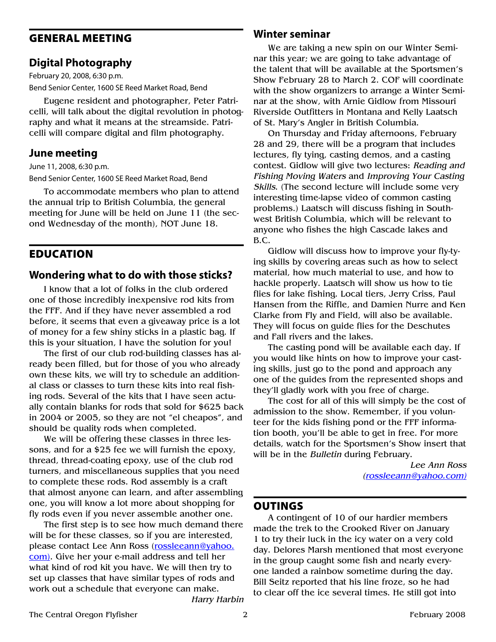## General Meeting

## **Digital Photography**

February 20, 2008, 6:30 p.m. Bend Senior Center, 1600 SE Reed Market Road, Bend

Eugene resident and photographer, Peter Patricelli, will talk about the digital revolution in photography and what it means at the streamside. Patricelli will compare digital and film photography.

## **June meeting**

June 11, 2008, 6:30 p.m. Bend Senior Center, 1600 SE Reed Market Road, Bend

To accommodate members who plan to attend the annual trip to British Columbia, the general meeting for June will be held on June 11 (the second Wednesday of the month), NOT June 18.

## **EDUCATION**

## **Wondering what to do with those sticks?**

I know that a lot of folks in the club ordered one of those incredibly inexpensive rod kits from the FFF. And if they have never assembled a rod before, it seems that even a giveaway price is a lot of money for a few shiny sticks in a plastic bag. If this is your situation, I have the solution for you!

The first of our club rod-building classes has already been filled, but for those of you who already own these kits, we will try to schedule an additional class or classes to turn these kits into real fishing rods. Several of the kits that I have seen actually contain blanks for rods that sold for \$625 back in 2004 or 2005, so they are not "el cheapos", and should be quality rods when completed.

We will be offering these classes in three lessons, and for a \$25 fee we will furnish the epoxy, thread, thread-coating epoxy, use of the club rod turners, and miscellaneous supplies that you need to complete these rods. Rod assembly is a craft that almost anyone can learn, and after assembling one, you will know a lot more about shopping for fly rods even if you never assemble another one.

The first step is to see how much demand there will be for these classes, so if you are interested, please contact Lee Ann Ross ([rossleeann@yahoo.](#page-2-0) [com](#page-2-0)). Give her your e-mail address and tell her what kind of rod kit you have. We will then try to set up classes that have similar types of rods and work out a schedule that everyone can make.

*Harry Harbin*

#### **Winter seminar**

We are taking a new spin on our Winter Seminar this year; we are going to take advantage of the talent that will be available at the Sportsmen's Show February 28 to March 2. COF will coordinate with the show organizers to arrange a Winter Seminar at the show, with Arnie Gidlow from Missouri Riverside Outfitters in Montana and Kelly Laatsch of St. Mary's Angler in British Columbia.

On Thursday and Friday afternoons, February 28 and 29, there will be a program that includes lectures, fly tying, casting demos, and a casting contest. Gidlow will give two lectures: *Reading and Fishing Moving Waters* and *Improving Your Casting Skills*. (The second lecture will include some very interesting time-lapse video of common casting problems.) Laatsch will discuss fishing in Southwest British Columbia, which will be relevant to anyone who fishes the high Cascade lakes and B.C.

Gidlow will discuss how to improve your fly-tying skills by covering areas such as how to select material, how much material to use, and how to hackle properly. Laatsch will show us how to tie flies for lake fishing. Local tiers, Jerry Criss, Paul Hansen from the Riffle, and Damien Nurre and Ken Clarke from Fly and Field, will also be available. They will focus on guide flies for the Deschutes and Fall rivers and the lakes.

The casting pond will be available each day. If you would like hints on how to improve your casting skills, just go to the pond and approach any one of the guides from the represented shops and they'll gladly work with you free of charge.

The cost for all of this will simply be the cost of admission to the show. Remember, if you volunteer for the kids fishing pond or the FFF information booth, you'll be able to get in free. For more details, watch for the Sportsmen's Show insert that will be in the *Bulletin* during February.

> *Lee Ann Ross [\(rossleeann@yahoo.com](#page-2-0))*

### **OUTINGS**

A contingent of 10 of our hardier members made the trek to the Crooked River on January 1 to try their luck in the icy water on a very cold day. Delores Marsh mentioned that most everyone in the group caught some fish and nearly everyone landed a rainbow sometime during the day. Bill Seitz reported that his line froze, so he had to clear off the ice several times. He still got into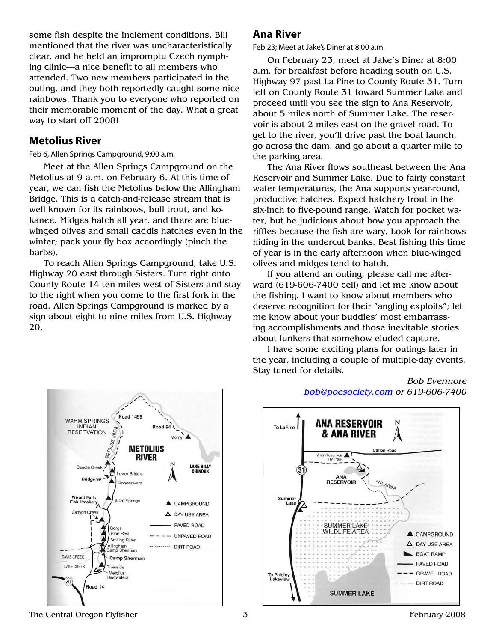some fish despite the inclement conditions. Bill mentioned that the river was uncharacteristically clear, and he held an impromptu Czech nymphing clinic—a nice benefit to all members who attended. Two new members participated in the outing, and they both reportedly caught some nice rainbows. Thank you to everyone who reported on their memorable moment of the day. What a great way to start off 2008!

### **Metolius River**

#### Feb 6, Allen Springs Campground, 9:00 a.m.

Meet at the Allen Springs Campground on the Metolius at 9 a.m. on February 6. At this time of year, we can fish the Metolius below the Allingham Bridge. This is a catch-and-release stream that is well known for its rainbows, bull trout, and kokanee. Midges hatch all year, and there are bluewinged olives and small caddis hatches even in the winter; pack your fly box accordingly (pinch the barbs).

To reach Allen Springs Campground, take U.S. Highway 20 east through Sisters. Turn right onto County Route 14 ten miles west of Sisters and stay to the right when you come to the first fork in the road. Allen Springs Campground is marked by a sign about eight to nine miles from U.S. Highway 20.

### **Ana River**

Feb 23; Meet at Jake's Diner at 8:00 a.m.

On February 23, meet at Jake's Diner at 8:00 a.m. for breakfast before heading south on U.S. Highway 97 past La Pine to County Route 31. Turn left on County Route 31 toward Summer Lake and proceed until you see the sign to Ana Reservoir, about 5 miles north of Summer Lake. The reservoir is about 2 miles east on the gravel road. To get to the river, you'll drive past the boat launch, go across the dam, and go about a quarter mile to the parking area.

The Ana River flows southeast between the Ana Reservoir and Summer Lake. Due to fairly constant water temperatures, the Ana supports year-round, productive hatches. Expect hatchery trout in the six-inch to five-pound range. Watch for pocket water, but be judicious about how you approach the riffles because the fish are wary. Look for rainbows hiding in the undercut banks. Best fishing this time of year is in the early afternoon when blue-winged olives and midges tend to hatch.

If you attend an outing, please call me afterward (619-606-7400 cell) and let me know about the fishing. I want to know about members who deserve recognition for their "angling exploits"; let me know about your buddies' most embarrassing accomplishments and those inevitable stories about lunkers that somehow eluded capture.

I have some exciting plans for outings later in the year, including a couple of multiple-day events. Stay tuned for details.

<span id="page-2-0"></span>





#### The Central Oregon Flyfisher 3 and 3 Tebruary 2008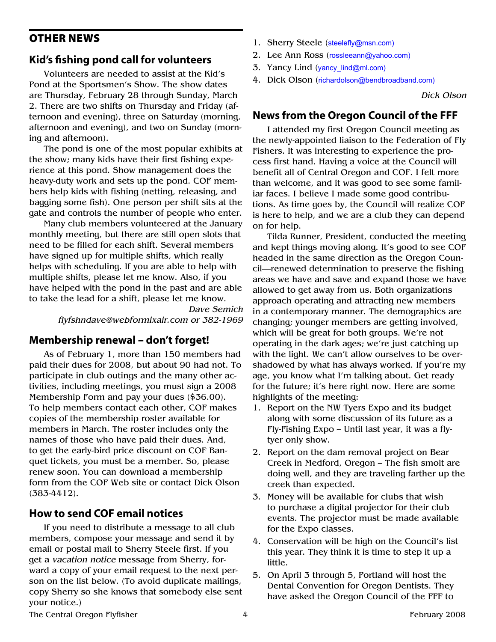## other news

## **Kid's fishing pond call for volunteers**

Volunteers are needed to assist at the Kid's Pond at the Sportsmen's Show. The show dates are Thursday, February 28 through Sunday, March 2. There are two shifts on Thursday and Friday (afternoon and evening), three on Saturday (morning, afternoon and evening), and two on Sunday (morning and afternoon).

The pond is one of the most popular exhibits at the show; many kids have their first fishing experience at this pond. Show management does the heavy-duty work and sets up the pond. COF members help kids with fishing (netting, releasing, and bagging some fish). One person per shift sits at the gate and controls the number of people who enter.

Many club members volunteered at the January monthly meeting, but there are still open slots that need to be filled for each shift. Several members have signed up for multiple shifts, which really helps with scheduling. If you are able to help with multiple shifts, please let me know. Also, if you have helped with the pond in the past and are able to take the lead for a shift, please let me know.

> *Dave Semich flyfshndave@webformixair.com or 382-1969*

## **Membership renewal – don't forget!**

As of February 1, more than 150 members had paid their dues for 2008, but about 90 had not. To participate in club outings and the many other activities, including meetings, you must sign a 2008 Membership Form and pay your dues (\$36.00). To help members contact each other, COF makes copies of the membership roster available for members in March. The roster includes only the names of those who have paid their dues. And, to get the early-bird price discount on COF Banquet tickets, you must be a member. So, please renew soon. You can download a membership form from the COF Web site or contact Dick Olson (383-4412).

## **How to send COF email notices**

If you need to distribute a message to all club members, compose your message and send it by email or postal mail to Sherry Steele first. If you get a *vacation notice* message from Sherry, forward a copy of your email request to the next person on the list below. (To avoid duplicate mailings, copy Sherry so she knows that somebody else sent your notice.)

- 1. Sherry Steele (steelefly@msn.com)
- 2. Lee Ann Ross (rossleeann@yahoo.com)
- 3. Yancy Lind (yancy lind@ml.com)
- 4. Dick Olson (richardolson@bendbroadband.com)

*Dick Olson*

## **News from the Oregon Council of the FFF**

I attended my first Oregon Council meeting as the newly-appointed liaison to the Federation of Fly Fishers. It was interesting to experience the process first hand. Having a voice at the Council will benefit all of Central Oregon and COF. I felt more than welcome, and it was good to see some familiar faces. I believe I made some good contributions. As time goes by, the Council will realize COF is here to help, and we are a club they can depend on for help.

Tilda Runner, President, conducted the meeting and kept things moving along. It's good to see COF headed in the same direction as the Oregon Council—renewed determination to preserve the fishing areas we have and save and expand those we have allowed to get away from us. Both organizations approach operating and attracting new members in a contemporary manner. The demographics are changing; younger members are getting involved, which will be great for both groups. We're not operating in the dark ages; we're just catching up with the light. We can't allow ourselves to be overshadowed by what has always worked. If you're my age, you know what I'm talking about. Get ready for the future; it's here right now. Here are some highlights of the meeting:

- 1. Report on the NW Tyers Expo and its budget along with some discussion of its future as a Fly-Fishing Expo – Until last year, it was a flytyer only show.
- 2. Report on the dam removal project on Bear Creek in Medford, Oregon – The fish smolt are doing well, and they are traveling farther up the creek than expected.
- 3. Money will be available for clubs that wish to purchase a digital projector for their club events. The projector must be made available for the Expo classes.
- 4. Conservation will be high on the Council's list this year. They think it is time to step it up a little.
- 5. On April 3 through 5, Portland will host the Dental Convention for Oregon Dentists. They have asked the Oregon Council of the FFF to

The Central Oregon Flyfisher  $4$  4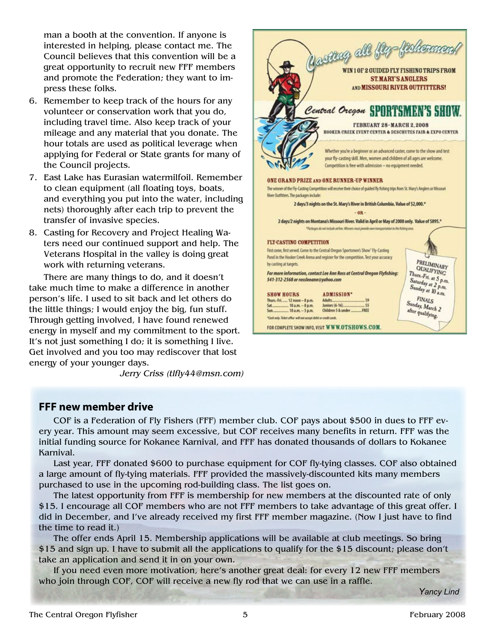man a booth at the convention. If anyone is interested in helping, please contact me. The Council believes that this convention will be a great opportunity to recruit new FFF members and promote the Federation; they want to impress these folks.

- 6. Remember to keep track of the hours for any volunteer or conservation work that you do, including travel time. Also keep track of your mileage and any material that you donate. The hour totals are used as political leverage when applying for Federal or State grants for many of the Council projects.
- 7. East Lake has Eurasian watermilfoil. Remember to clean equipment (all floating toys, boats, and everything you put into the water, including nets) thoroughly after each trip to prevent the transfer of invasive species.
- 8. Casting for Recovery and Project Healing Waters need our continued support and help. The Veterans Hospital in the valley is doing great work with returning veterans.

There are many things to do, and it doesn't take much time to make a difference in another person's life. I used to sit back and let others do the little things; I would enjoy the big, fun stuff. Through getting involved, I have found renewed energy in myself and my commitment to the sport. It's not just something I do; it is something I live. Get involved and you too may rediscover that lost energy of your younger days.

*Jerry Criss (tlfly44@msn.com)*



#### **FFF new member drive**

COF is a Federation of Fly Fishers (FFF) member club. COF pays about \$500 in dues to FFF every year. This amount may seem excessive, but COF receives many benefits in return. FFF was the initial funding source for Kokanee Karnival, and FFF has donated thousands of dollars to Kokanee Karnival.

Last year, FFF donated \$600 to purchase equipment for COF fly-tying classes. COF also obtained a large amount of fly-tying materials. FFF provided the massively-discounted kits many members purchased to use in the upcoming rod-building class. The list goes on.

The latest opportunity from FFF is membership for new members at the discounted rate of only \$15. I encourage all COF members who are not FFF members to take advantage of this great offer. I did in December, and I've already received my first FFF member magazine. (Now I just have to find the time to read it.)

The offer ends April 15. Membership applications will be available at club meetings. So bring \$15 and sign up. I have to submit all the applications to qualify for the \$15 discount; please don't take an application and send it in on your own.

If you need even more motivation, here's another great deal: for every 12 new FFF members who join through COF, COF will receive a new fly rod that we can use in a raffle.

*Yancy Lind*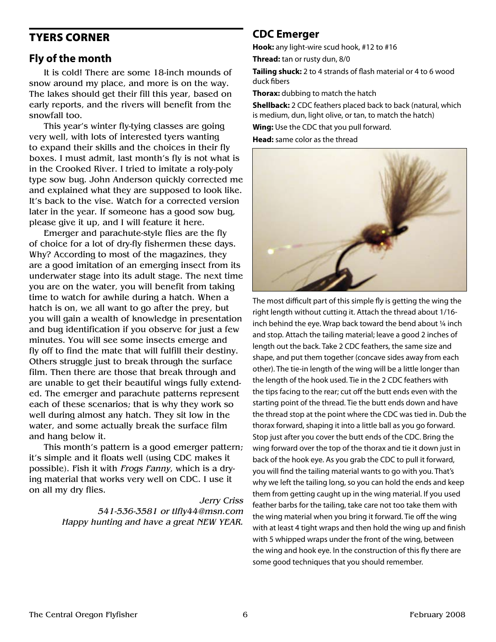## Tyers Corner

### **Fly of the month**

It is cold! There are some 18-inch mounds of snow around my place, and more is on the way. The lakes should get their fill this year, based on early reports, and the rivers will benefit from the snowfall too.

This year's winter fly-tying classes are going very well, with lots of interested tyers wanting to expand their skills and the choices in their fly boxes. I must admit, last month's fly is not what is in the Crooked River. I tried to imitate a roly-poly type sow bug. John Anderson quickly corrected me and explained what they are supposed to look like. It's back to the vise. Watch for a corrected version later in the year. If someone has a good sow bug, please give it up, and I will feature it here.

Emerger and parachute-style flies are the fly of choice for a lot of dry-fly fishermen these days. Why? According to most of the magazines, they are a good imitation of an emerging insect from its underwater stage into its adult stage. The next time you are on the water, you will benefit from taking time to watch for awhile during a hatch. When a hatch is on, we all want to go after the prey, but you will gain a wealth of knowledge in presentation and bug identification if you observe for just a few minutes. You will see some insects emerge and fly off to find the mate that will fulfill their destiny. Others struggle just to break through the surface film. Then there are those that break through and are unable to get their beautiful wings fully extended. The emerger and parachute patterns represent each of these scenarios; that is why they work so well during almost any hatch. They sit low in the water, and some actually break the surface film and hang below it.

This month's pattern is a good emerger pattern; it's simple and it floats well (using CDC makes it possible). Fish it with *Frogs Fanny*, which is a drying material that works very well on CDC. I use it on all my dry flies.

> *Jerry Criss 541-536-3581 or tlfly44@msn.com Happy hunting and have a great NEW YEAR.*

## **CDC Emerger**

**Hook:** any light-wire scud hook, #12 to #16

**Thread:** tan or rusty dun, 8/0

**Tailing shuck:** 2 to 4 strands of flash material or 4 to 6 wood duck fibers

**Thorax:** dubbing to match the hatch

**Shellback:** 2 CDC feathers placed back to back (natural, which is medium, dun, light olive, or tan, to match the hatch)

**Wing:** Use the CDC that you pull forward.

**Head:** same color as the thread



The most difficult part of this simple fly is getting the wing the right length without cutting it. Attach the thread about 1/16 inch behind the eye. Wrap back toward the bend about  $\frac{1}{4}$  inch and stop. Attach the tailing material; leave a good 2 inches of length out the back. Take 2 CDC feathers, the same size and shape, and put them together (concave sides away from each other). The tie-in length of the wing will be a little longer than the length of the hook used. Tie in the 2 CDC feathers with the tips facing to the rear; cut off the butt ends even with the starting point of the thread. Tie the butt ends down and have the thread stop at the point where the CDC was tied in. Dub the thorax forward, shaping it into a little ball as you go forward. Stop just after you cover the butt ends of the CDC. Bring the wing forward over the top of the thorax and tie it down just in back of the hook eye. As you grab the CDC to pull it forward, you will find the tailing material wants to go with you. That's why we left the tailing long, so you can hold the ends and keep them from getting caught up in the wing material. If you used feather barbs for the tailing, take care not too take them with the wing material when you bring it forward. Tie off the wing with at least 4 tight wraps and then hold the wing up and finish with 5 whipped wraps under the front of the wing, between the wing and hook eye. In the construction of this fly there are some good techniques that you should remember.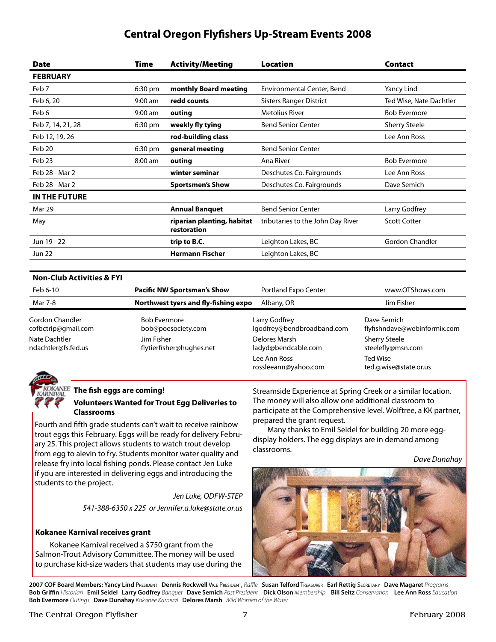## **Central Oregon Flyfishers Up-Stream Events 2008**

| <b>Date</b>          | Time              | <b>Activity/Meeting</b>                   | <b>Location</b>                   | <b>Contact</b>          |
|----------------------|-------------------|-------------------------------------------|-----------------------------------|-------------------------|
| <b>FEBRUARY</b>      |                   |                                           |                                   |                         |
| Feb 7                | $6:30 \text{ pm}$ | monthly Board meeting                     | Environmental Center, Bend        | Yancy Lind              |
| Feb 6, 20            | $9:00$ am         | redd counts                               | <b>Sisters Ranger District</b>    | Ted Wise, Nate Dachtler |
| Feb 6                | $9:00$ am         | outing                                    | <b>Metolius River</b>             | <b>Bob Evermore</b>     |
| Feb 7, 14, 21, 28    | 6:30 pm           | weekly fly tying                          | <b>Bend Senior Center</b>         | <b>Sherry Steele</b>    |
| Feb 12, 19, 26       |                   | rod-building class                        |                                   | Lee Ann Ross            |
| Feb 20               | $6:30 \text{ pm}$ | general meeting                           | <b>Bend Senior Center</b>         |                         |
| Feb 23               | $8:00$ am         | outing                                    | Ana River                         | <b>Bob Evermore</b>     |
| Feb 28 - Mar 2       |                   | winter seminar                            | Deschutes Co. Fairgrounds         | Lee Ann Ross            |
| Feb 28 - Mar 2       |                   | <b>Sportsmen's Show</b>                   | Deschutes Co. Fairgrounds         | Dave Semich             |
| <b>IN THE FUTURE</b> |                   |                                           |                                   |                         |
| Mar 29               |                   | <b>Annual Banquet</b>                     | <b>Bend Senior Center</b>         | Larry Godfrey           |
| May                  |                   | riparian planting, habitat<br>restoration | tributaries to the John Day River | <b>Scott Cotter</b>     |
| Jun 19 - 22          |                   | trip to B.C.                              | Leighton Lakes, BC                | Gordon Chandler         |
|                      |                   | <b>Hermann Fischer</b>                    |                                   |                         |
| <b>Jun 22</b>        |                   |                                           | Leighton Lakes, BC                |                         |

#### **Non-Club Activities & FYI**

| Feb 6-10                               | <b>Pacific NW Sportsman's Show</b>        | Portland Expo Center                        | www.OTShows.com                             |
|----------------------------------------|-------------------------------------------|---------------------------------------------|---------------------------------------------|
| Mar 7-8                                | Northwest tyers and fly-fishing expo      | Albany, OR                                  | Jim Fisher                                  |
| Gordon Chandler<br>cofbctrip@gmail.com | <b>Bob Evermore</b><br>bob@poesociety.com | Larry Godfrey<br>lgodfrey@bendbroadband.com | Dave Semich<br>flyfishndave@webinformix.com |
| Nate Dachtler<br>ndachtler@fs.fed.us   | Jim Fisher<br>flytierfisher@hughes.net    | Delores Marsh<br>ladyd@bendcable.com        | <b>Sherry Steele</b><br>steelefly@msn.com   |
|                                        |                                           | Lee Ann Ross<br>rossleeann@yahoo.com        | Ted Wise<br>ted.g.wise@state.or.us          |



#### $\frac{\Delta E E}{\Delta E}$  The fish eggs are coming!

**Volunteers Wanted for Trout Egg Deliveries to Classrooms** 

Fourth and fifth grade students can't wait to receive rainbow trout eggs this February. Eggs will be ready for delivery February 25. This project allows students to watch trout develop from egg to alevin to fry. Students monitor water quality and release fry into local fishing ponds. Please contact Jen Luke if you are interested in delivering eggs and introducing the students to the project.

> *Jen Luke, ODFW-STEP 541-388-6350 x 225 or Jennifer.a.luke@state.or.us*

#### **Kokanee Karnival receives grant**

Kokanee Karnival received a \$750 grant from the Salmon-Trout Advisory Committee. The money will be used to purchase kid-size waders that students may use during the

Streamside Experience at Spring Creek or a similar location. The money will also allow one additional classroom to participate at the Comprehensive level. Wolftree, a KK partner, prepared the grant request.

Many thanks to Emil Seidel for building 20 more eggdisplay holders. The egg displays are in demand among classrooms.

*Dave Dunahay*



**2007 COF Board Members: Yancy Lind** President **Dennis Rockwell** Vice President, *Raffle* **Susan Telford** Treasurer **Earl Rettig** Secretary **Dave Magaret** *Programs* Bob Griffin Historian Emil Seidel Larry Godfrey Banquet Dave Semich Past President Dick Olson Membership Bill Seitz Conservation Lee Ann Ross Education **Bob Evermore** *Outings* **Dave Dunahay** *Kokanee Karnival* **Delores Marsh** *Wild Women of the Water*